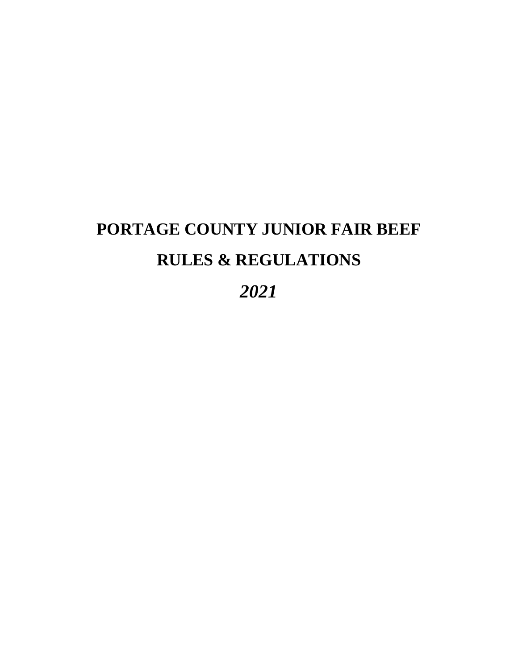# **PORTAGE COUNTY JUNIOR FAIR BEEF RULES & REGULATIONS**

*2021*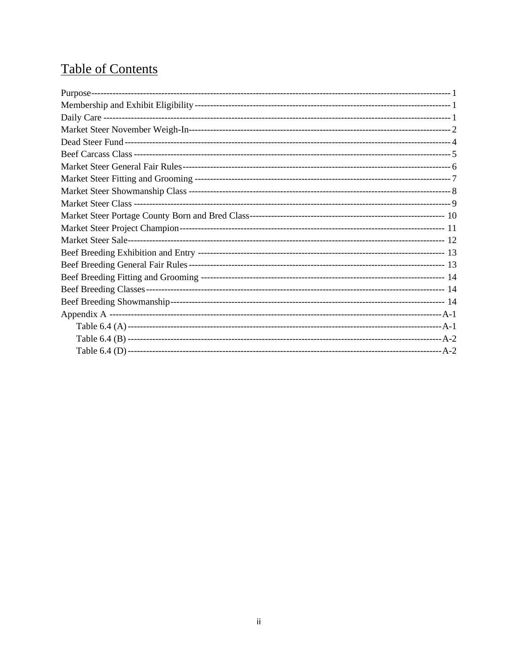## **Table of Contents**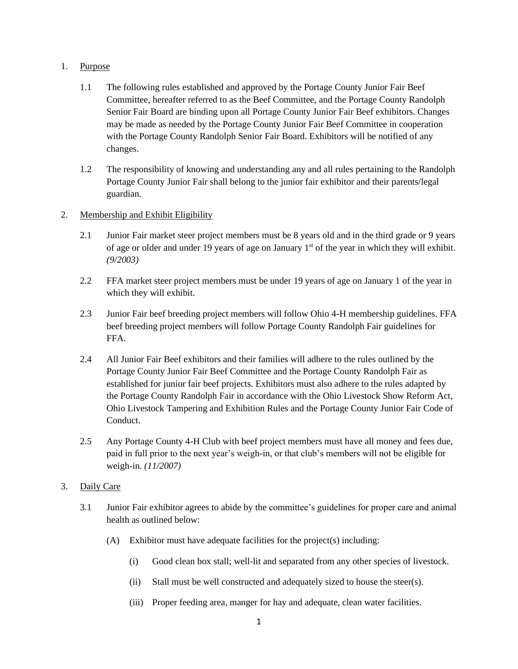#### 1. Purpose

- 1.1 The following rules established and approved by the Portage County Junior Fair Beef Committee, hereafter referred to as the Beef Committee, and the Portage County Randolph Senior Fair Board are binding upon all Portage County Junior Fair Beef exhibitors. Changes may be made as needed by the Portage County Junior Fair Beef Committee in cooperation with the Portage County Randolph Senior Fair Board. Exhibitors will be notified of any changes.
- 1.2 The responsibility of knowing and understanding any and all rules pertaining to the Randolph Portage County Junior Fair shall belong to the junior fair exhibitor and their parents/legal guardian.

#### 2. Membership and Exhibit Eligibility

- 2.1 Junior Fair market steer project members must be 8 years old and in the third grade or 9 years of age or older and under 19 years of age on January  $1<sup>st</sup>$  of the year in which they will exhibit. *(9/2003)*
- 2.2 FFA market steer project members must be under 19 years of age on January 1 of the year in which they will exhibit.
- 2.3 Junior Fair beef breeding project members will follow Ohio 4-H membership guidelines. FFA beef breeding project members will follow Portage County Randolph Fair guidelines for FFA.
- 2.4 All Junior Fair Beef exhibitors and their families will adhere to the rules outlined by the Portage County Junior Fair Beef Committee and the Portage County Randolph Fair as established for junior fair beef projects. Exhibitors must also adhere to the rules adapted by the Portage County Randolph Fair in accordance with the Ohio Livestock Show Reform Act, Ohio Livestock Tampering and Exhibition Rules and the Portage County Junior Fair Code of Conduct.
- 2.5 Any Portage County 4-H Club with beef project members must have all money and fees due, paid in full prior to the next year's weigh-in, or that club's members will not be eligible for weigh-in. *(11/2007)*

#### 3. Daily Care

- 3.1 Junior Fair exhibitor agrees to abide by the committee's guidelines for proper care and animal health as outlined below:
	- (A) Exhibitor must have adequate facilities for the project(s) including:
		- (i) Good clean box stall; well-lit and separated from any other species of livestock.
		- (ii) Stall must be well constructed and adequately sized to house the steer(s).
		- (iii) Proper feeding area, manger for hay and adequate, clean water facilities.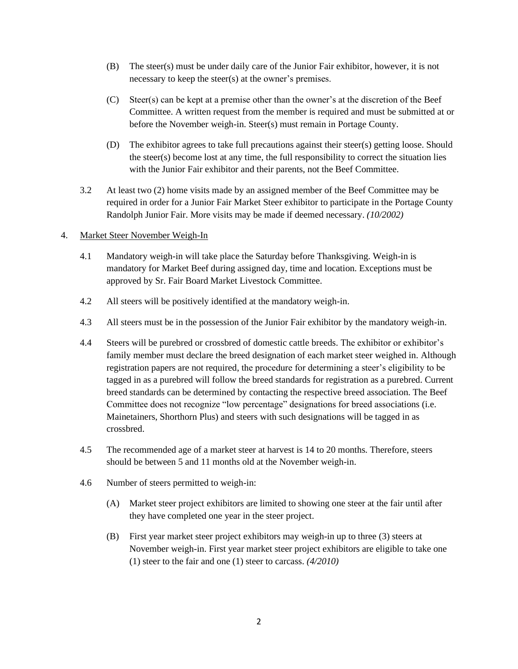- (B) The steer(s) must be under daily care of the Junior Fair exhibitor, however, it is not necessary to keep the steer(s) at the owner's premises.
- (C) Steer(s) can be kept at a premise other than the owner's at the discretion of the Beef Committee. A written request from the member is required and must be submitted at or before the November weigh-in. Steer(s) must remain in Portage County.
- (D) The exhibitor agrees to take full precautions against their steer(s) getting loose. Should the steer(s) become lost at any time, the full responsibility to correct the situation lies with the Junior Fair exhibitor and their parents, not the Beef Committee.
- 3.2 At least two (2) home visits made by an assigned member of the Beef Committee may be required in order for a Junior Fair Market Steer exhibitor to participate in the Portage County Randolph Junior Fair. More visits may be made if deemed necessary. *(10/2002)*

#### 4. Market Steer November Weigh-In

- 4.1 Mandatory weigh-in will take place the Saturday before Thanksgiving. Weigh-in is mandatory for Market Beef during assigned day, time and location. Exceptions must be approved by Sr. Fair Board Market Livestock Committee.
- 4.2 All steers will be positively identified at the mandatory weigh-in.
- 4.3 All steers must be in the possession of the Junior Fair exhibitor by the mandatory weigh-in.
- 4.4 Steers will be purebred or crossbred of domestic cattle breeds. The exhibitor or exhibitor's family member must declare the breed designation of each market steer weighed in. Although registration papers are not required, the procedure for determining a steer's eligibility to be tagged in as a purebred will follow the breed standards for registration as a purebred. Current breed standards can be determined by contacting the respective breed association. The Beef Committee does not recognize "low percentage" designations for breed associations (i.e. Mainetainers, Shorthorn Plus) and steers with such designations will be tagged in as crossbred.
- 4.5 The recommended age of a market steer at harvest is 14 to 20 months. Therefore, steers should be between 5 and 11 months old at the November weigh-in.
- 4.6 Number of steers permitted to weigh-in:
	- (A) Market steer project exhibitors are limited to showing one steer at the fair until after they have completed one year in the steer project.
	- (B) First year market steer project exhibitors may weigh-in up to three (3) steers at November weigh-in. First year market steer project exhibitors are eligible to take one (1) steer to the fair and one (1) steer to carcass. *(4/2010)*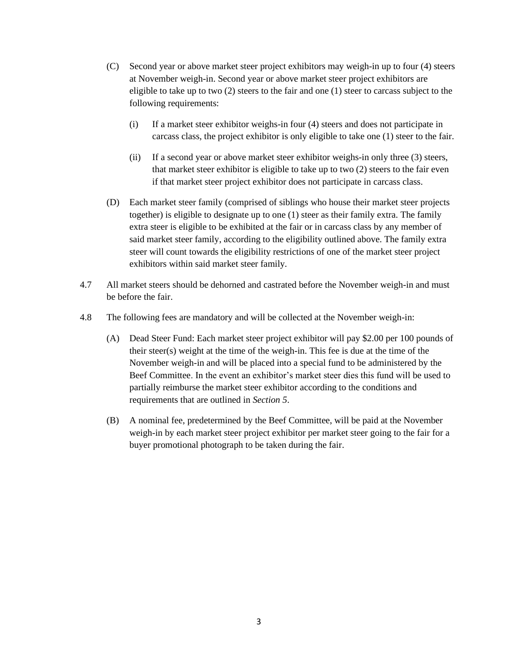- (C) Second year or above market steer project exhibitors may weigh-in up to four (4) steers at November weigh-in. Second year or above market steer project exhibitors are eligible to take up to two (2) steers to the fair and one (1) steer to carcass subject to the following requirements:
	- (i) If a market steer exhibitor weighs-in four (4) steers and does not participate in carcass class, the project exhibitor is only eligible to take one (1) steer to the fair.
	- (ii) If a second year or above market steer exhibitor weighs-in only three (3) steers, that market steer exhibitor is eligible to take up to two (2) steers to the fair even if that market steer project exhibitor does not participate in carcass class.
- (D) Each market steer family (comprised of siblings who house their market steer projects together) is eligible to designate up to one (1) steer as their family extra. The family extra steer is eligible to be exhibited at the fair or in carcass class by any member of said market steer family, according to the eligibility outlined above. The family extra steer will count towards the eligibility restrictions of one of the market steer project exhibitors within said market steer family.
- 4.7 All market steers should be dehorned and castrated before the November weigh-in and must be before the fair.
- 4.8 The following fees are mandatory and will be collected at the November weigh-in:
	- (A) Dead Steer Fund: Each market steer project exhibitor will pay \$2.00 per 100 pounds of their steer(s) weight at the time of the weigh-in. This fee is due at the time of the November weigh-in and will be placed into a special fund to be administered by the Beef Committee. In the event an exhibitor's market steer dies this fund will be used to partially reimburse the market steer exhibitor according to the conditions and requirements that are outlined in *Section 5*.
	- (B) A nominal fee, predetermined by the Beef Committee, will be paid at the November weigh-in by each market steer project exhibitor per market steer going to the fair for a buyer promotional photograph to be taken during the fair.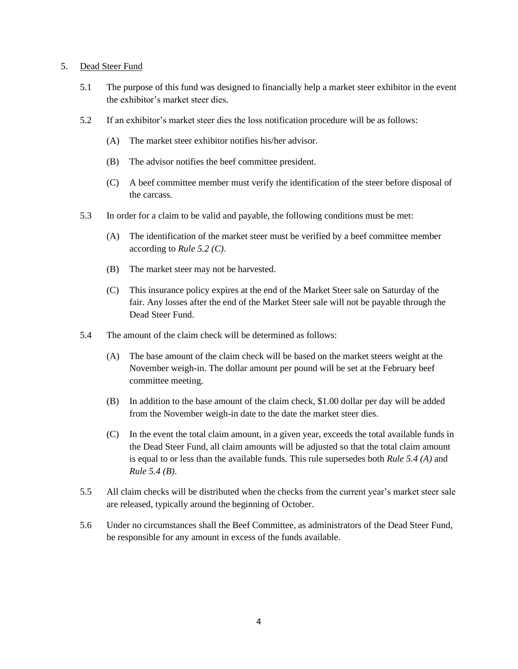#### 5. Dead Steer Fund

- 5.1 The purpose of this fund was designed to financially help a market steer exhibitor in the event the exhibitor's market steer dies.
- 5.2 If an exhibitor's market steer dies the loss notification procedure will be as follows:
	- (A) The market steer exhibitor notifies his/her advisor.
	- (B) The advisor notifies the beef committee president.
	- (C) A beef committee member must verify the identification of the steer before disposal of the carcass.
- 5.3 In order for a claim to be valid and payable, the following conditions must be met:
	- (A) The identification of the market steer must be verified by a beef committee member according to *Rule 5.2 (C)*.
	- (B) The market steer may not be harvested.
	- (C) This insurance policy expires at the end of the Market Steer sale on Saturday of the fair. Any losses after the end of the Market Steer sale will not be payable through the Dead Steer Fund.
- 5.4 The amount of the claim check will be determined as follows:
	- (A) The base amount of the claim check will be based on the market steers weight at the November weigh-in. The dollar amount per pound will be set at the February beef committee meeting.
	- (B) In addition to the base amount of the claim check, \$1.00 dollar per day will be added from the November weigh-in date to the date the market steer dies.
	- (C) In the event the total claim amount, in a given year, exceeds the total available funds in the Dead Steer Fund, all claim amounts will be adjusted so that the total claim amount is equal to or less than the available funds. This rule supersedes both *Rule 5.4 (A)* and *Rule 5.4 (B)*.
- 5.5 All claim checks will be distributed when the checks from the current year's market steer sale are released, typically around the beginning of October.
- 5.6 Under no circumstances shall the Beef Committee, as administrators of the Dead Steer Fund, be responsible for any amount in excess of the funds available.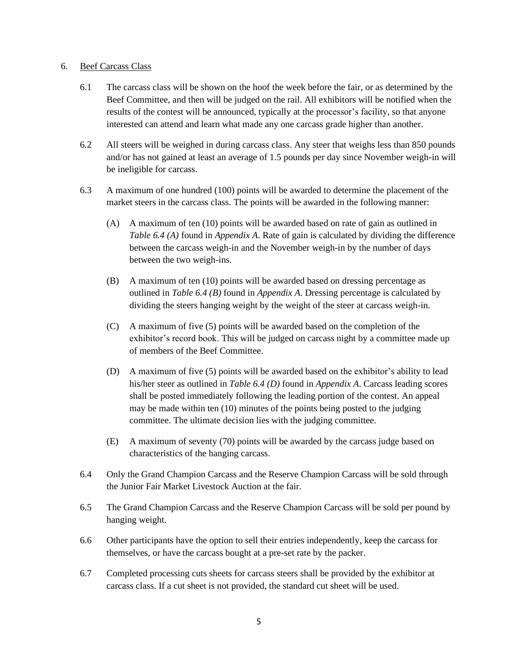#### 6. Beef Carcass Class

- 6.1 The carcass class will be shown on the hoof the week before the fair, or as determined by the Beef Committee, and then will be judged on the rail. All exhibitors will be notified when the results of the contest will be announced, typically at the processor's facility, so that anyone interested can attend and learn what made any one carcass grade higher than another.
- 6.2 All steers will be weighed in during carcass class. Any steer that weighs less than 850 pounds and/or has not gained at least an average of 1.5 pounds per day since November weigh-in will be ineligible for carcass.
- 6.3 A maximum of one hundred (100) points will be awarded to determine the placement of the market steers in the carcass class. The points will be awarded in the following manner:
	- (A) A maximum of ten (10) points will be awarded based on rate of gain as outlined in *Table 6.4 (A)* found in *Appendix A*. Rate of gain is calculated by dividing the difference between the carcass weigh-in and the November weigh-in by the number of days between the two weigh-ins.
	- (B) A maximum of ten (10) points will be awarded based on dressing percentage as outlined in *Table 6.4 (B)* found in *Appendix A*. Dressing percentage is calculated by dividing the steers hanging weight by the weight of the steer at carcass weigh-in.
	- (C) A maximum of five (5) points will be awarded based on the completion of the exhibitor's record book. This will be judged on carcass night by a committee made up of members of the Beef Committee.
	- (D) A maximum of five (5) points will be awarded based on the exhibitor's ability to lead his/her steer as outlined in *Table 6.4 (D)* found in *Appendix A*. Carcass leading scores shall be posted immediately following the leading portion of the contest. An appeal may be made within ten (10) minutes of the points being posted to the judging committee. The ultimate decision lies with the judging committee.
	- (E) A maximum of seventy (70) points will be awarded by the carcass judge based on characteristics of the hanging carcass.
- 6.4 Only the Grand Champion Carcass and the Reserve Champion Carcass will be sold through the Junior Fair Market Livestock Auction at the fair.
- 6.5 The Grand Champion Carcass and the Reserve Champion Carcass will be sold per pound by hanging weight.
- 6.6 Other participants have the option to sell their entries independently, keep the carcass for themselves, or have the carcass bought at a pre-set rate by the packer.
- 6.7 Completed processing cuts sheets for carcass steers shall be provided by the exhibitor at carcass class. If a cut sheet is not provided, the standard cut sheet will be used.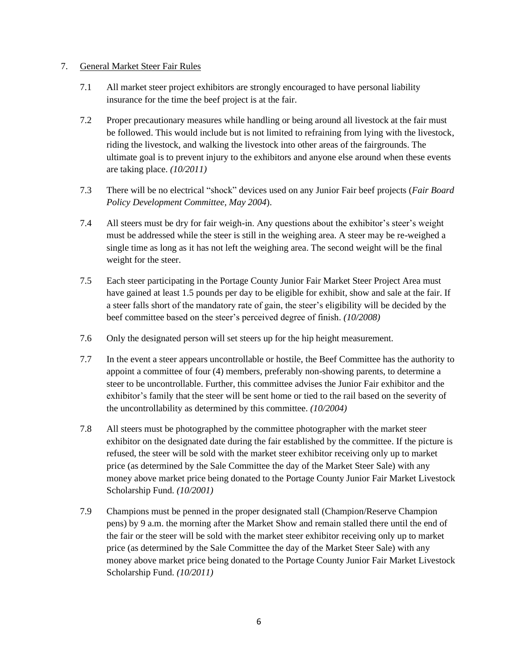#### 7. General Market Steer Fair Rules

- 7.1 All market steer project exhibitors are strongly encouraged to have personal liability insurance for the time the beef project is at the fair.
- 7.2 Proper precautionary measures while handling or being around all livestock at the fair must be followed. This would include but is not limited to refraining from lying with the livestock, riding the livestock, and walking the livestock into other areas of the fairgrounds. The ultimate goal is to prevent injury to the exhibitors and anyone else around when these events are taking place. *(10/2011)*
- 7.3 There will be no electrical "shock" devices used on any Junior Fair beef projects (*Fair Board Policy Development Committee, May 2004*).
- 7.4 All steers must be dry for fair weigh-in. Any questions about the exhibitor's steer's weight must be addressed while the steer is still in the weighing area. A steer may be re-weighed a single time as long as it has not left the weighing area. The second weight will be the final weight for the steer.
- 7.5 Each steer participating in the Portage County Junior Fair Market Steer Project Area must have gained at least 1.5 pounds per day to be eligible for exhibit, show and sale at the fair. If a steer falls short of the mandatory rate of gain, the steer's eligibility will be decided by the beef committee based on the steer's perceived degree of finish. *(10/2008)*
- 7.6 Only the designated person will set steers up for the hip height measurement.
- 7.7 In the event a steer appears uncontrollable or hostile, the Beef Committee has the authority to appoint a committee of four (4) members, preferably non-showing parents, to determine a steer to be uncontrollable. Further, this committee advises the Junior Fair exhibitor and the exhibitor's family that the steer will be sent home or tied to the rail based on the severity of the uncontrollability as determined by this committee. *(10/2004)*
- 7.8 All steers must be photographed by the committee photographer with the market steer exhibitor on the designated date during the fair established by the committee. If the picture is refused, the steer will be sold with the market steer exhibitor receiving only up to market price (as determined by the Sale Committee the day of the Market Steer Sale) with any money above market price being donated to the Portage County Junior Fair Market Livestock Scholarship Fund. *(10/2001)*
- 7.9 Champions must be penned in the proper designated stall (Champion/Reserve Champion pens) by 9 a.m. the morning after the Market Show and remain stalled there until the end of the fair or the steer will be sold with the market steer exhibitor receiving only up to market price (as determined by the Sale Committee the day of the Market Steer Sale) with any money above market price being donated to the Portage County Junior Fair Market Livestock Scholarship Fund. *(10/2011)*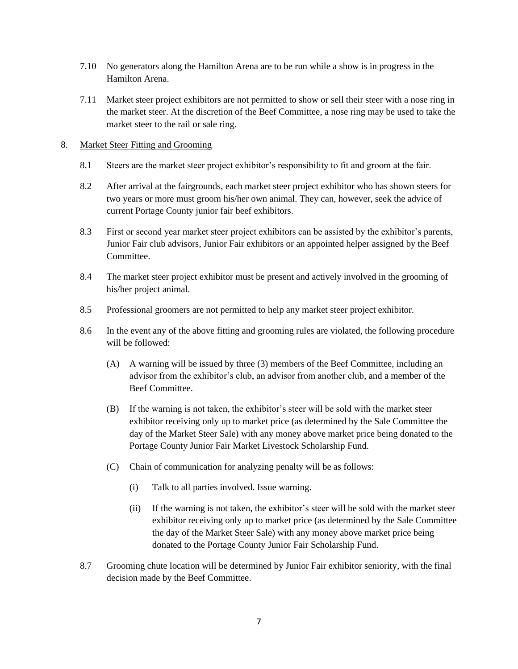- 7.10 No generators along the Hamilton Arena are to be run while a show is in progress in the Hamilton Arena.
- 7.11 Market steer project exhibitors are not permitted to show or sell their steer with a nose ring in the market steer. At the discretion of the Beef Committee, a nose ring may be used to take the market steer to the rail or sale ring.

#### 8. Market Steer Fitting and Grooming

- 8.1 Steers are the market steer project exhibitor's responsibility to fit and groom at the fair.
- 8.2 After arrival at the fairgrounds, each market steer project exhibitor who has shown steers for two years or more must groom his/her own animal. They can, however, seek the advice of current Portage County junior fair beef exhibitors.
- 8.3 First or second year market steer project exhibitors can be assisted by the exhibitor's parents, Junior Fair club advisors, Junior Fair exhibitors or an appointed helper assigned by the Beef Committee.
- 8.4 The market steer project exhibitor must be present and actively involved in the grooming of his/her project animal.
- 8.5 Professional groomers are not permitted to help any market steer project exhibitor.
- 8.6 In the event any of the above fitting and grooming rules are violated, the following procedure will be followed:
	- (A) A warning will be issued by three (3) members of the Beef Committee, including an advisor from the exhibitor's club, an advisor from another club, and a member of the Beef Committee.
	- (B) If the warning is not taken, the exhibitor's steer will be sold with the market steer exhibitor receiving only up to market price (as determined by the Sale Committee the day of the Market Steer Sale) with any money above market price being donated to the Portage County Junior Fair Market Livestock Scholarship Fund.
	- (C) Chain of communication for analyzing penalty will be as follows:
		- (i) Talk to all parties involved. Issue warning.
		- (ii) If the warning is not taken, the exhibitor's steer will be sold with the market steer exhibitor receiving only up to market price (as determined by the Sale Committee the day of the Market Steer Sale) with any money above market price being donated to the Portage County Junior Fair Scholarship Fund.
- 8.7 Grooming chute location will be determined by Junior Fair exhibitor seniority, with the final decision made by the Beef Committee.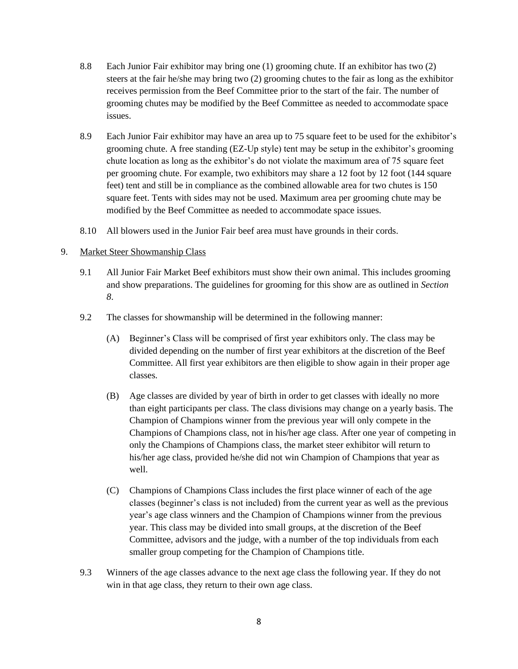- 8.8 Each Junior Fair exhibitor may bring one (1) grooming chute. If an exhibitor has two (2) steers at the fair he/she may bring two (2) grooming chutes to the fair as long as the exhibitor receives permission from the Beef Committee prior to the start of the fair. The number of grooming chutes may be modified by the Beef Committee as needed to accommodate space issues.
- 8.9 Each Junior Fair exhibitor may have an area up to 75 square feet to be used for the exhibitor's grooming chute. A free standing (EZ-Up style) tent may be setup in the exhibitor's grooming chute location as long as the exhibitor's do not violate the maximum area of 75 square feet per grooming chute. For example, two exhibitors may share a 12 foot by 12 foot (144 square feet) tent and still be in compliance as the combined allowable area for two chutes is 150 square feet. Tents with sides may not be used. Maximum area per grooming chute may be modified by the Beef Committee as needed to accommodate space issues.
- 8.10 All blowers used in the Junior Fair beef area must have grounds in their cords.
- 9. Market Steer Showmanship Class
	- 9.1 All Junior Fair Market Beef exhibitors must show their own animal. This includes grooming and show preparations. The guidelines for grooming for this show are as outlined in *Section 8*.
	- 9.2 The classes for showmanship will be determined in the following manner:
		- (A) Beginner's Class will be comprised of first year exhibitors only. The class may be divided depending on the number of first year exhibitors at the discretion of the Beef Committee. All first year exhibitors are then eligible to show again in their proper age classes.
		- (B) Age classes are divided by year of birth in order to get classes with ideally no more than eight participants per class. The class divisions may change on a yearly basis. The Champion of Champions winner from the previous year will only compete in the Champions of Champions class, not in his/her age class. After one year of competing in only the Champions of Champions class, the market steer exhibitor will return to his/her age class, provided he/she did not win Champion of Champions that year as well.
		- (C) Champions of Champions Class includes the first place winner of each of the age classes (beginner's class is not included) from the current year as well as the previous year's age class winners and the Champion of Champions winner from the previous year. This class may be divided into small groups, at the discretion of the Beef Committee, advisors and the judge, with a number of the top individuals from each smaller group competing for the Champion of Champions title.
	- 9.3 Winners of the age classes advance to the next age class the following year. If they do not win in that age class, they return to their own age class.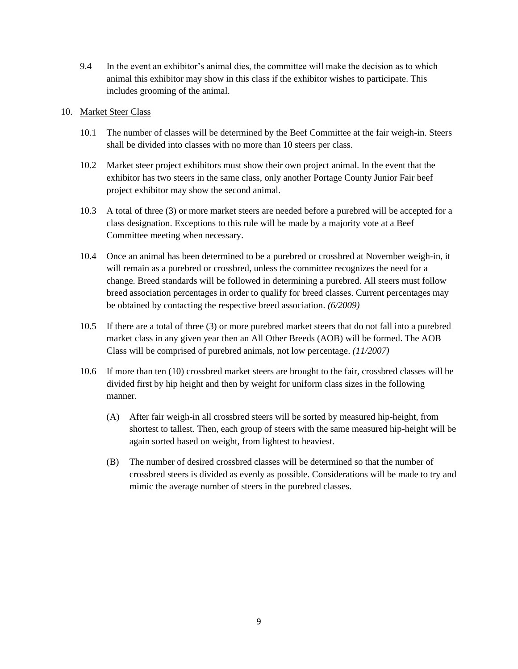9.4 In the event an exhibitor's animal dies, the committee will make the decision as to which animal this exhibitor may show in this class if the exhibitor wishes to participate. This includes grooming of the animal.

#### 10. Market Steer Class

- 10.1 The number of classes will be determined by the Beef Committee at the fair weigh-in. Steers shall be divided into classes with no more than 10 steers per class.
- 10.2 Market steer project exhibitors must show their own project animal. In the event that the exhibitor has two steers in the same class, only another Portage County Junior Fair beef project exhibitor may show the second animal.
- 10.3 A total of three (3) or more market steers are needed before a purebred will be accepted for a class designation. Exceptions to this rule will be made by a majority vote at a Beef Committee meeting when necessary.
- 10.4 Once an animal has been determined to be a purebred or crossbred at November weigh-in, it will remain as a purebred or crossbred, unless the committee recognizes the need for a change. Breed standards will be followed in determining a purebred. All steers must follow breed association percentages in order to qualify for breed classes. Current percentages may be obtained by contacting the respective breed association. *(6/2009)*
- 10.5 If there are a total of three (3) or more purebred market steers that do not fall into a purebred market class in any given year then an All Other Breeds (AOB) will be formed. The AOB Class will be comprised of purebred animals, not low percentage. *(11/2007)*
- 10.6 If more than ten (10) crossbred market steers are brought to the fair, crossbred classes will be divided first by hip height and then by weight for uniform class sizes in the following manner.
	- (A) After fair weigh-in all crossbred steers will be sorted by measured hip-height, from shortest to tallest. Then, each group of steers with the same measured hip-height will be again sorted based on weight, from lightest to heaviest.
	- (B) The number of desired crossbred classes will be determined so that the number of crossbred steers is divided as evenly as possible. Considerations will be made to try and mimic the average number of steers in the purebred classes.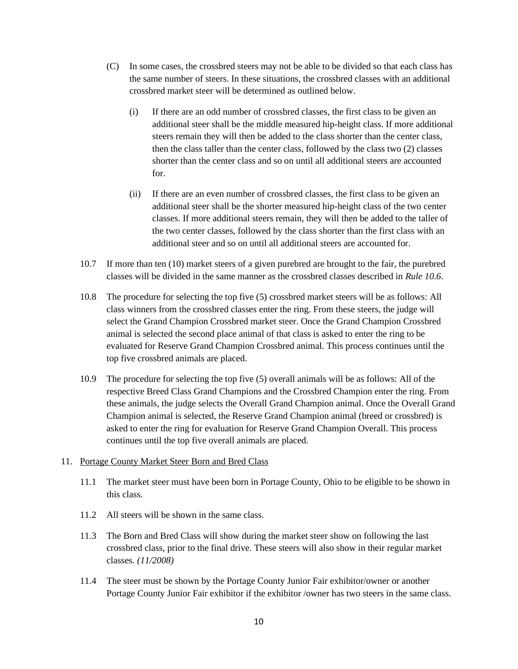- (C) In some cases, the crossbred steers may not be able to be divided so that each class has the same number of steers. In these situations, the crossbred classes with an additional crossbred market steer will be determined as outlined below.
	- (i) If there are an odd number of crossbred classes, the first class to be given an additional steer shall be the middle measured hip-height class. If more additional steers remain they will then be added to the class shorter than the center class, then the class taller than the center class, followed by the class two (2) classes shorter than the center class and so on until all additional steers are accounted for.
	- (ii) If there are an even number of crossbred classes, the first class to be given an additional steer shall be the shorter measured hip-height class of the two center classes. If more additional steers remain, they will then be added to the taller of the two center classes, followed by the class shorter than the first class with an additional steer and so on until all additional steers are accounted for.
- 10.7 If more than ten (10) market steers of a given purebred are brought to the fair, the purebred classes will be divided in the same manner as the crossbred classes described in *Rule 10.6*.
- 10.8 The procedure for selecting the top five (5) crossbred market steers will be as follows: All class winners from the crossbred classes enter the ring. From these steers, the judge will select the Grand Champion Crossbred market steer. Once the Grand Champion Crossbred animal is selected the second place animal of that class is asked to enter the ring to be evaluated for Reserve Grand Champion Crossbred animal. This process continues until the top five crossbred animals are placed.
- 10.9 The procedure for selecting the top five (5) overall animals will be as follows: All of the respective Breed Class Grand Champions and the Crossbred Champion enter the ring. From these animals, the judge selects the Overall Grand Champion animal. Once the Overall Grand Champion animal is selected, the Reserve Grand Champion animal (breed or crossbred) is asked to enter the ring for evaluation for Reserve Grand Champion Overall. This process continues until the top five overall animals are placed.

#### 11. Portage County Market Steer Born and Bred Class

- 11.1 The market steer must have been born in Portage County, Ohio to be eligible to be shown in this class.
- 11.2 All steers will be shown in the same class.
- 11.3 The Born and Bred Class will show during the market steer show on following the last crossbred class, prior to the final drive. These steers will also show in their regular market classes. *(11/2008)*
- 11.4 The steer must be shown by the Portage County Junior Fair exhibitor/owner or another Portage County Junior Fair exhibitor if the exhibitor /owner has two steers in the same class.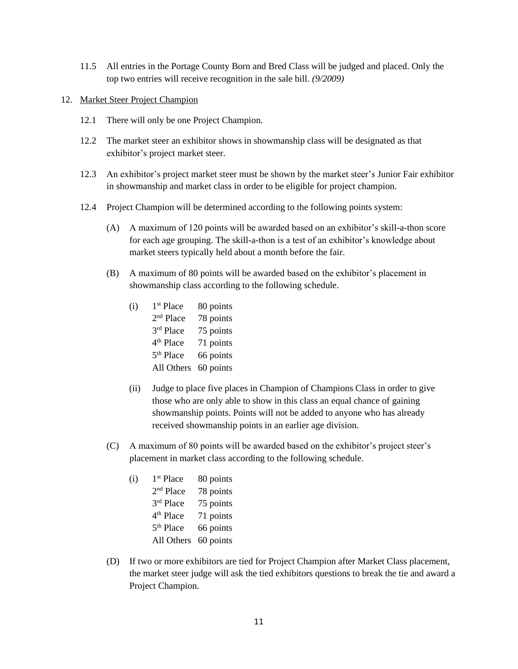- 11.5 All entries in the Portage County Born and Bred Class will be judged and placed. Only the top two entries will receive recognition in the sale bill. *(9/2009)*
- 12. Market Steer Project Champion
	- 12.1 There will only be one Project Champion.
	- 12.2 The market steer an exhibitor shows in showmanship class will be designated as that exhibitor's project market steer.
	- 12.3 An exhibitor's project market steer must be shown by the market steer's Junior Fair exhibitor in showmanship and market class in order to be eligible for project champion.
	- 12.4 Project Champion will be determined according to the following points system:
		- (A) A maximum of 120 points will be awarded based on an exhibitor's skill-a-thon score for each age grouping. The skill-a-thon is a test of an exhibitor's knowledge about market steers typically held about a month before the fair.
		- (B) A maximum of 80 points will be awarded based on the exhibitor's placement in showmanship class according to the following schedule.

| (i) | 1 <sup>st</sup> Place | 80 points |
|-----|-----------------------|-----------|
|     | 2 <sup>nd</sup> Place | 78 points |
|     | 3rd Place             | 75 points |
|     | 4 <sup>th</sup> Place | 71 points |
|     | 5 <sup>th</sup> Place | 66 points |
|     | All Others            | 60 points |

- (ii) Judge to place five places in Champion of Champions Class in order to give those who are only able to show in this class an equal chance of gaining showmanship points. Points will not be added to anyone who has already received showmanship points in an earlier age division.
- (C) A maximum of 80 points will be awarded based on the exhibitor's project steer's placement in market class according to the following schedule.

| (i) | 1 <sup>st</sup> Place | 80 points |
|-----|-----------------------|-----------|
|     | 2 <sup>nd</sup> Place | 78 points |
|     | 3rd Place             | 75 points |
|     | 4 <sup>th</sup> Place | 71 points |
|     | 5 <sup>th</sup> Place | 66 points |
|     | All Others            | 60 points |

(D) If two or more exhibitors are tied for Project Champion after Market Class placement, the market steer judge will ask the tied exhibitors questions to break the tie and award a Project Champion.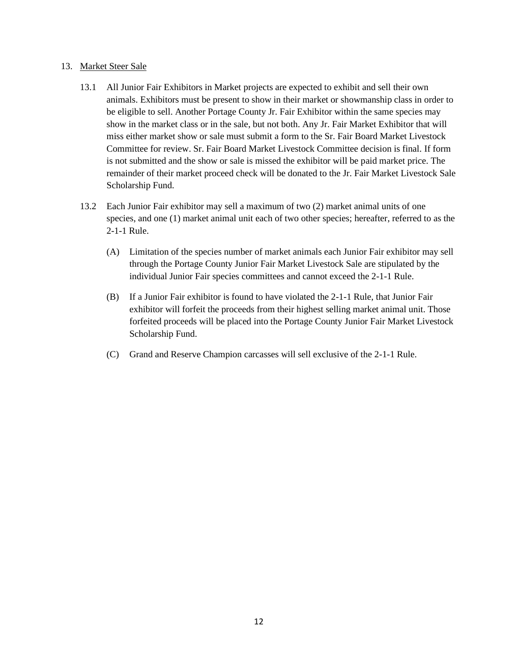#### 13. Market Steer Sale

- 13.1 All Junior Fair Exhibitors in Market projects are expected to exhibit and sell their own animals. Exhibitors must be present to show in their market or showmanship class in order to be eligible to sell. Another Portage County Jr. Fair Exhibitor within the same species may show in the market class or in the sale, but not both. Any Jr. Fair Market Exhibitor that will miss either market show or sale must submit a form to the Sr. Fair Board Market Livestock Committee for review. Sr. Fair Board Market Livestock Committee decision is final. If form is not submitted and the show or sale is missed the exhibitor will be paid market price. The remainder of their market proceed check will be donated to the Jr. Fair Market Livestock Sale Scholarship Fund.
- 13.2 Each Junior Fair exhibitor may sell a maximum of two (2) market animal units of one species, and one (1) market animal unit each of two other species; hereafter, referred to as the 2-1-1 Rule.
	- (A) Limitation of the species number of market animals each Junior Fair exhibitor may sell through the Portage County Junior Fair Market Livestock Sale are stipulated by the individual Junior Fair species committees and cannot exceed the 2-1-1 Rule.
	- (B) If a Junior Fair exhibitor is found to have violated the 2-1-1 Rule, that Junior Fair exhibitor will forfeit the proceeds from their highest selling market animal unit. Those forfeited proceeds will be placed into the Portage County Junior Fair Market Livestock Scholarship Fund.
	- (C) Grand and Reserve Champion carcasses will sell exclusive of the 2-1-1 Rule.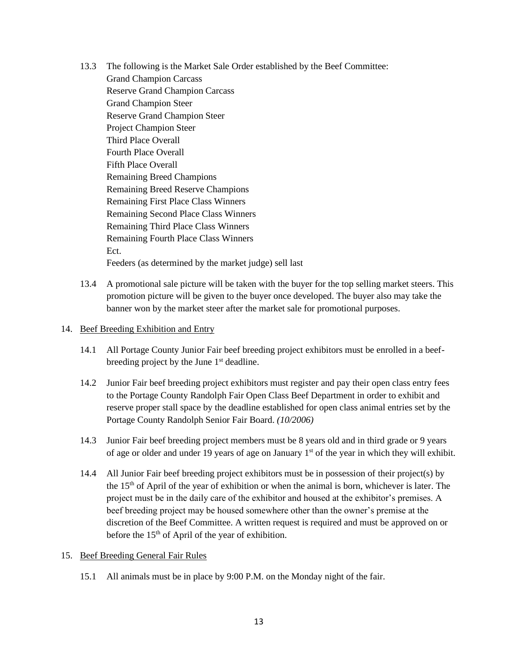- 13.3 The following is the Market Sale Order established by the Beef Committee: Grand Champion Carcass Reserve Grand Champion Carcass Grand Champion Steer Reserve Grand Champion Steer Project Champion Steer Third Place Overall Fourth Place Overall Fifth Place Overall Remaining Breed Champions Remaining Breed Reserve Champions Remaining First Place Class Winners Remaining Second Place Class Winners Remaining Third Place Class Winners Remaining Fourth Place Class Winners Ect. Feeders (as determined by the market judge) sell last
- 13.4 A promotional sale picture will be taken with the buyer for the top selling market steers. This promotion picture will be given to the buyer once developed. The buyer also may take the banner won by the market steer after the market sale for promotional purposes.

#### 14. Beef Breeding Exhibition and Entry

- 14.1 All Portage County Junior Fair beef breeding project exhibitors must be enrolled in a beefbreeding project by the June 1<sup>st</sup> deadline.
- 14.2 Junior Fair beef breeding project exhibitors must register and pay their open class entry fees to the Portage County Randolph Fair Open Class Beef Department in order to exhibit and reserve proper stall space by the deadline established for open class animal entries set by the Portage County Randolph Senior Fair Board. *(10/2006)*
- 14.3 Junior Fair beef breeding project members must be 8 years old and in third grade or 9 years of age or older and under 19 years of age on January 1<sup>st</sup> of the year in which they will exhibit.
- 14.4 All Junior Fair beef breeding project exhibitors must be in possession of their project(s) by the  $15<sup>th</sup>$  of April of the year of exhibition or when the animal is born, whichever is later. The project must be in the daily care of the exhibitor and housed at the exhibitor's premises. A beef breeding project may be housed somewhere other than the owner's premise at the discretion of the Beef Committee. A written request is required and must be approved on or before the  $15<sup>th</sup>$  of April of the year of exhibition.

#### 15. Beef Breeding General Fair Rules

15.1 All animals must be in place by 9:00 P.M. on the Monday night of the fair.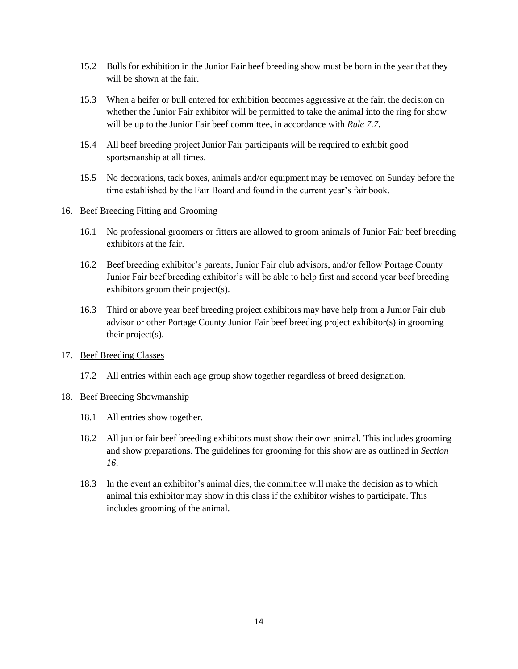- 15.2 Bulls for exhibition in the Junior Fair beef breeding show must be born in the year that they will be shown at the fair.
- 15.3 When a heifer or bull entered for exhibition becomes aggressive at the fair, the decision on whether the Junior Fair exhibitor will be permitted to take the animal into the ring for show will be up to the Junior Fair beef committee, in accordance with *Rule 7.7*.
- 15.4 All beef breeding project Junior Fair participants will be required to exhibit good sportsmanship at all times.
- 15.5 No decorations, tack boxes, animals and/or equipment may be removed on Sunday before the time established by the Fair Board and found in the current year's fair book.

#### 16. Beef Breeding Fitting and Grooming

- 16.1 No professional groomers or fitters are allowed to groom animals of Junior Fair beef breeding exhibitors at the fair.
- 16.2 Beef breeding exhibitor's parents, Junior Fair club advisors, and/or fellow Portage County Junior Fair beef breeding exhibitor's will be able to help first and second year beef breeding exhibitors groom their project(s).
- 16.3 Third or above year beef breeding project exhibitors may have help from a Junior Fair club advisor or other Portage County Junior Fair beef breeding project exhibitor(s) in grooming their project(s).

#### 17. Beef Breeding Classes

17.2 All entries within each age group show together regardless of breed designation.

#### 18. Beef Breeding Showmanship

- 18.1 All entries show together.
- 18.2 All junior fair beef breeding exhibitors must show their own animal. This includes grooming and show preparations. The guidelines for grooming for this show are as outlined in *Section 16*.
- 18.3 In the event an exhibitor's animal dies, the committee will make the decision as to which animal this exhibitor may show in this class if the exhibitor wishes to participate. This includes grooming of the animal.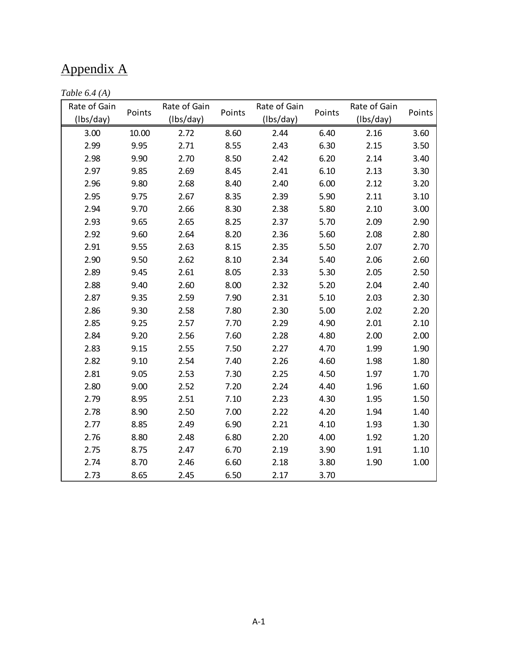## Appendix A

| Table $6.4(A)$ |  |  |  |
|----------------|--|--|--|
|----------------|--|--|--|

| Rate of Gain<br>(Ibs/day) | Points | Rate of Gain<br>(Ibs/day) | Points | Rate of Gain<br>(Ibs/day) | Points | Rate of Gain<br>(Ibs/day) | Points |
|---------------------------|--------|---------------------------|--------|---------------------------|--------|---------------------------|--------|
| 3.00                      | 10.00  | 2.72                      | 8.60   | 2.44                      | 6.40   | 2.16                      | 3.60   |
| 2.99                      | 9.95   | 2.71                      | 8.55   | 2.43                      | 6.30   | 2.15                      | 3.50   |
|                           |        |                           |        |                           |        |                           |        |
| 2.98                      | 9.90   | 2.70                      | 8.50   | 2.42                      | 6.20   | 2.14                      | 3.40   |
| 2.97                      | 9.85   | 2.69                      | 8.45   | 2.41                      | 6.10   | 2.13                      | 3.30   |
| 2.96                      | 9.80   | 2.68                      | 8.40   | 2.40                      | 6.00   | 2.12                      | 3.20   |
| 2.95                      | 9.75   | 2.67                      | 8.35   | 2.39                      | 5.90   | 2.11                      | 3.10   |
| 2.94                      | 9.70   | 2.66                      | 8.30   | 2.38                      | 5.80   | 2.10                      | 3.00   |
| 2.93                      | 9.65   | 2.65                      | 8.25   | 2.37                      | 5.70   | 2.09                      | 2.90   |
| 2.92                      | 9.60   | 2.64                      | 8.20   | 2.36                      | 5.60   | 2.08                      | 2.80   |
| 2.91                      | 9.55   | 2.63                      | 8.15   | 2.35                      | 5.50   | 2.07                      | 2.70   |
| 2.90                      | 9.50   | 2.62                      | 8.10   | 2.34                      | 5.40   | 2.06                      | 2.60   |
| 2.89                      | 9.45   | 2.61                      | 8.05   | 2.33                      | 5.30   | 2.05                      | 2.50   |
| 2.88                      | 9.40   | 2.60                      | 8.00   | 2.32                      | 5.20   | 2.04                      | 2.40   |
| 2.87                      | 9.35   | 2.59                      | 7.90   | 2.31                      | 5.10   | 2.03                      | 2.30   |
| 2.86                      | 9.30   | 2.58                      | 7.80   | 2.30                      | 5.00   | 2.02                      | 2.20   |
| 2.85                      | 9.25   | 2.57                      | 7.70   | 2.29                      | 4.90   | 2.01                      | 2.10   |
| 2.84                      | 9.20   | 2.56                      | 7.60   | 2.28                      | 4.80   | 2.00                      | 2.00   |
| 2.83                      | 9.15   | 2.55                      | 7.50   | 2.27                      | 4.70   | 1.99                      | 1.90   |
| 2.82                      | 9.10   | 2.54                      | 7.40   | 2.26                      | 4.60   | 1.98                      | 1.80   |
| 2.81                      | 9.05   | 2.53                      | 7.30   | 2.25                      | 4.50   | 1.97                      | 1.70   |
| 2.80                      | 9.00   | 2.52                      | 7.20   | 2.24                      | 4.40   | 1.96                      | 1.60   |
| 2.79                      | 8.95   | 2.51                      | 7.10   | 2.23                      | 4.30   | 1.95                      | 1.50   |
| 2.78                      | 8.90   | 2.50                      | 7.00   | 2.22                      | 4.20   | 1.94                      | 1.40   |
| 2.77                      | 8.85   | 2.49                      | 6.90   | 2.21                      | 4.10   | 1.93                      | 1.30   |
| 2.76                      | 8.80   | 2.48                      | 6.80   | 2.20                      | 4.00   | 1.92                      | 1.20   |
| 2.75                      | 8.75   | 2.47                      | 6.70   | 2.19                      | 3.90   | 1.91                      | 1.10   |
| 2.74                      | 8.70   | 2.46                      | 6.60   | 2.18                      | 3.80   | 1.90                      | 1.00   |
| 2.73                      | 8.65   | 2.45                      | 6.50   | 2.17                      | 3.70   |                           |        |